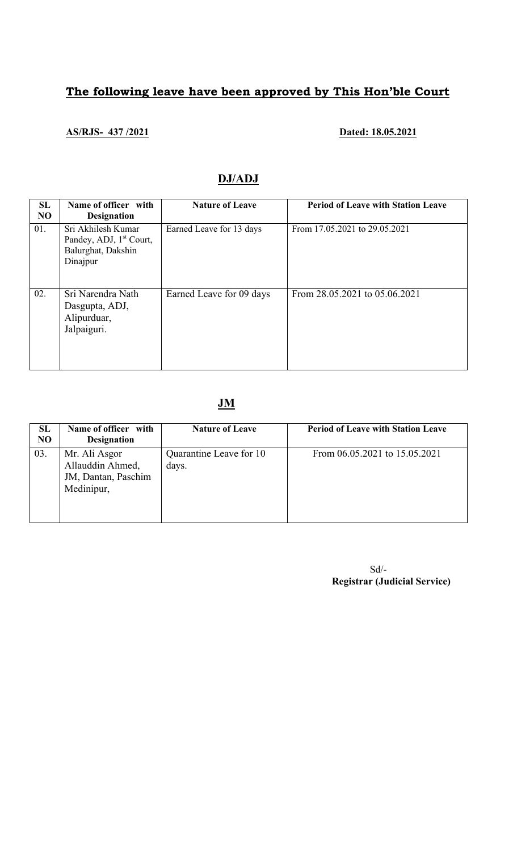# The following leave have been approved by This Hon'ble Court

## AS/RJS- 437/2021 Dated: 18.05.2021

## DJ/ADJ

| SL<br>N <sub>O</sub> | Name of officer with<br><b>Designation</b>                                                  | <b>Nature of Leave</b>   | <b>Period of Leave with Station Leave</b> |
|----------------------|---------------------------------------------------------------------------------------------|--------------------------|-------------------------------------------|
| 01.                  | Sri Akhilesh Kumar<br>Pandey, ADJ, 1 <sup>st</sup> Court,<br>Balurghat, Dakshin<br>Dinajpur | Earned Leave for 13 days | From 17.05.2021 to 29.05.2021             |
| 02.                  | Sri Narendra Nath<br>Dasgupta, ADJ,<br>Alipurduar,<br>Jalpaiguri.                           | Earned Leave for 09 days | From 28.05.2021 to 05.06.2021             |

## JM

| <b>SL</b><br>N <sub>O</sub> | Name of officer with<br><b>Designation</b>                             | <b>Nature of Leave</b>           | <b>Period of Leave with Station Leave</b> |
|-----------------------------|------------------------------------------------------------------------|----------------------------------|-------------------------------------------|
| 03.                         | Mr. Ali Asgor<br>Allauddin Ahmed,<br>JM, Dantan, Paschim<br>Medinipur, | Quarantine Leave for 10<br>days. | From 06.05.2021 to 15.05.2021             |

Sd/- Registrar (Judicial Service)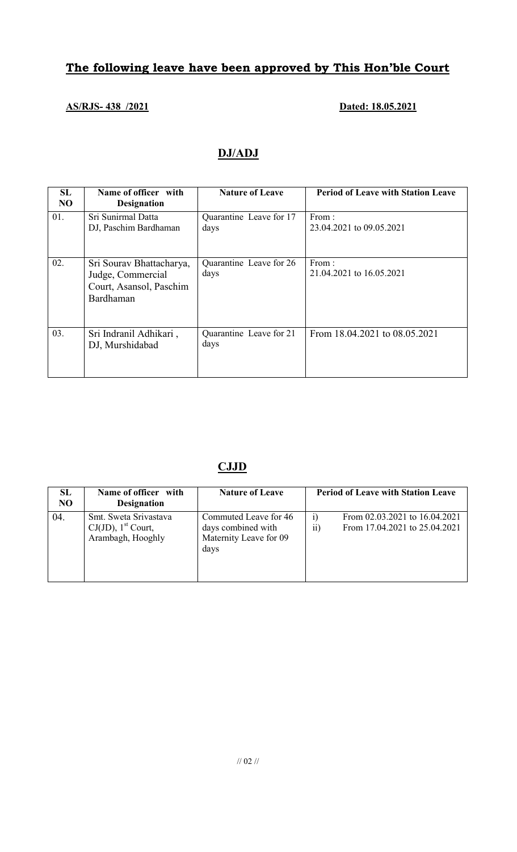# The following leave have been approved by This Hon'ble Court

## AS/RJS- 438 /2021 Dated: 18.05.2021

# DJ/ADJ

| SL<br>N <sub>O</sub> | Name of officer with<br><b>Designation</b>                                            | <b>Nature of Leave</b>          | <b>Period of Leave with Station Leave</b> |
|----------------------|---------------------------------------------------------------------------------------|---------------------------------|-------------------------------------------|
| 01.                  | Sri Sunirmal Datta<br>DJ, Paschim Bardhaman                                           | Quarantine Leave for 17<br>days | From:<br>23.04.2021 to 09.05.2021         |
| 02.                  | Sri Sourav Bhattacharya,<br>Judge, Commercial<br>Court, Asansol, Paschim<br>Bardhaman | Quarantine Leave for 26<br>days | From:<br>21.04.2021 to 16.05.2021         |
| 03.                  | Sri Indranil Adhikari,<br>DJ, Murshidabad                                             | Quarantine Leave for 21<br>days | From 18.04.2021 to 08.05.2021             |

## CJJD

| SL<br>NO | Name of officer with<br><b>Designation</b>                                      | <b>Nature of Leave</b>                                                        | <b>Period of Leave with Station Leave</b>                                       |
|----------|---------------------------------------------------------------------------------|-------------------------------------------------------------------------------|---------------------------------------------------------------------------------|
| 04.      | Smt. Sweta Srivastava<br>$CJ(JD)$ , 1 <sup>st</sup> Court,<br>Arambagh, Hooghly | Commuted Leave for 46<br>days combined with<br>Maternity Leave for 09<br>days | From 02.03.2021 to 16.04.2021<br>$_{1}$<br>From 17.04.2021 to 25.04.2021<br>11) |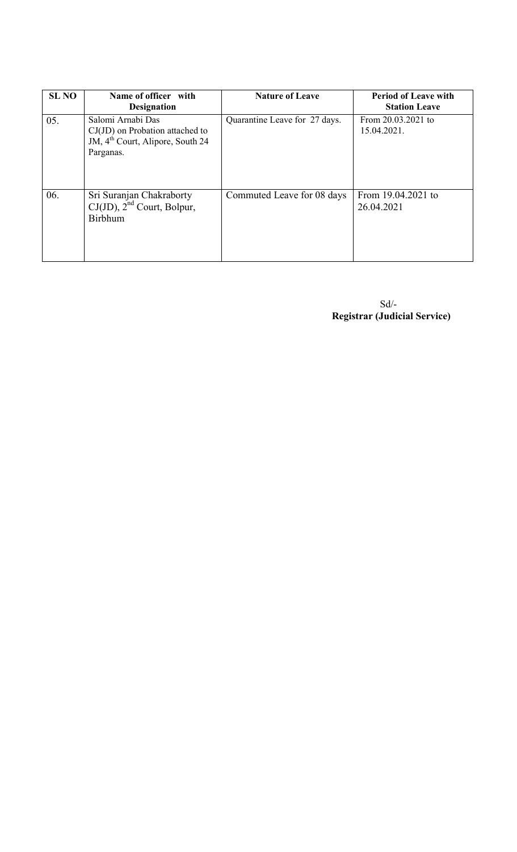| <b>SL NO</b> | Name of officer with<br><b>Designation</b>                                                                          | <b>Nature of Leave</b>        | <b>Period of Leave with</b><br><b>Station Leave</b> |
|--------------|---------------------------------------------------------------------------------------------------------------------|-------------------------------|-----------------------------------------------------|
| 05.          | Salomi Arnabi Das<br>$CJ(JD)$ on Probation attached to<br>JM, 4 <sup>th</sup> Court, Alipore, South 24<br>Parganas. | Quarantine Leave for 27 days. | From 20.03.2021 to<br>15.04.2021.                   |
| 06.          | Sri Suranjan Chakraborty<br>$CJ(JD)$ , $2nd$ Court, Bolpur,<br><b>Birbhum</b>                                       | Commuted Leave for 08 days    | From 19.04.2021 to<br>26.04.2021                    |

 Sd/- Registrar (Judicial Service)